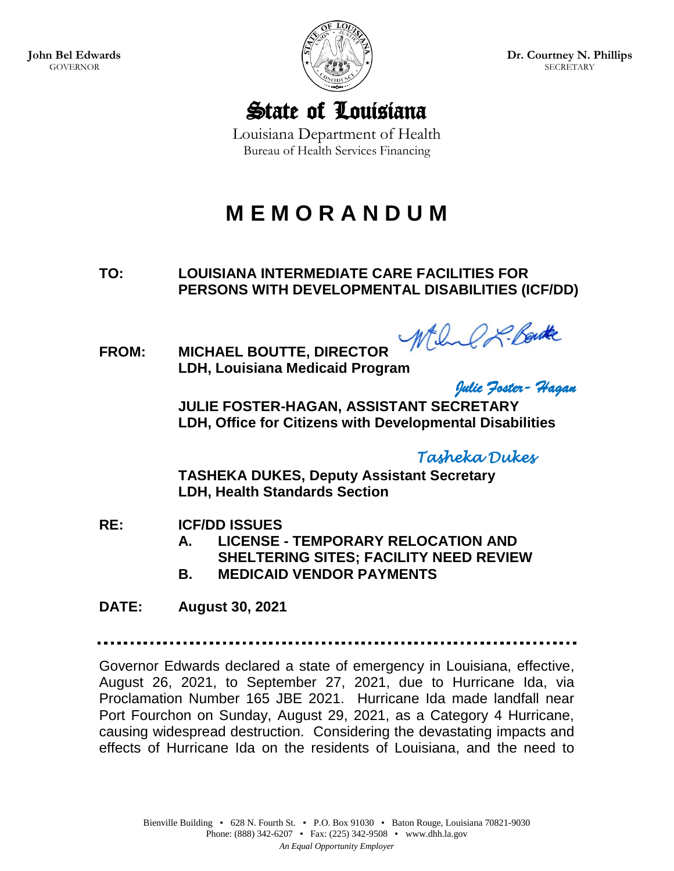

**Dr. Courtney N. Phillips SECRETARY** 

State of Louisiana

Louisiana Department of Health Bureau of Health Services Financing

# **M E M O R A N D U M**

**TO: LOUISIANA INTERMEDIATE CARE FACILITIES FOR PERSONS WITH DEVELOPMENTAL DISABILITIES (ICF/DD)**

While & Boute

**FROM: MICHAEL BOUTTE, DIRECTOR LDH, Louisiana Medicaid Program** 

*Julie Foster- Hagan* 

**JULIE FOSTER-HAGAN, ASSISTANT SECRETARY LDH, Office for Citizens with Developmental Disabilities**

*Tasheka Dukes* 

**TASHEKA DUKES, Deputy Assistant Secretary LDH, Health Standards Section** 

- **RE: ICF/DD ISSUES**
	- **A. LICENSE - TEMPORARY RELOCATION AND SHELTERING SITES; FACILITY NEED REVIEW**
	- **B. MEDICAID VENDOR PAYMENTS**

**DATE: August 30, 2021**

Governor Edwards declared a state of emergency in Louisiana, effective, August 26, 2021, to September 27, 2021, due to Hurricane Ida, via Proclamation Number 165 JBE 2021. Hurricane Ida made landfall near Port Fourchon on Sunday, August 29, 2021, as a Category 4 Hurricane, causing widespread destruction. Considering the devastating impacts and effects of Hurricane Ida on the residents of Louisiana, and the need to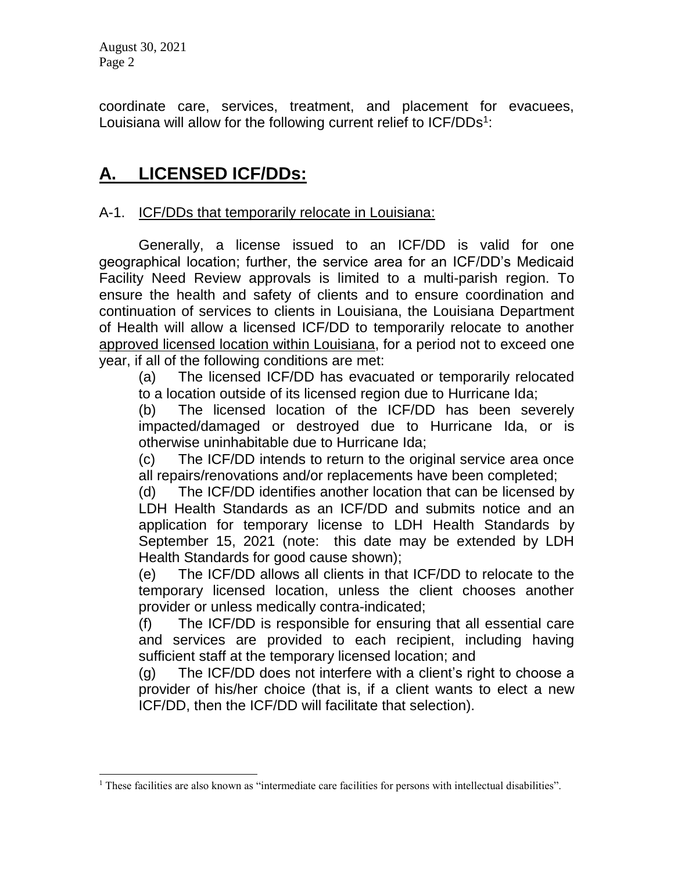August 30, 2021 Page 2

 $\overline{a}$ 

coordinate care, services, treatment, and placement for evacuees, Louisiana will allow for the following current relief to ICF/DDs<sup>1</sup>:

### **A. LICENSED ICF/DDs:**

#### A-1. ICF/DDs that temporarily relocate in Louisiana:

Generally, a license issued to an ICF/DD is valid for one geographical location; further, the service area for an ICF/DD's Medicaid Facility Need Review approvals is limited to a multi-parish region. To ensure the health and safety of clients and to ensure coordination and continuation of services to clients in Louisiana, the Louisiana Department of Health will allow a licensed ICF/DD to temporarily relocate to another approved licensed location within Louisiana, for a period not to exceed one year, if all of the following conditions are met:

(a) The licensed ICF/DD has evacuated or temporarily relocated to a location outside of its licensed region due to Hurricane Ida;

(b) The licensed location of the ICF/DD has been severely impacted/damaged or destroyed due to Hurricane Ida, or is otherwise uninhabitable due to Hurricane Ida;

(c) The ICF/DD intends to return to the original service area once all repairs/renovations and/or replacements have been completed;

(d) The ICF/DD identifies another location that can be licensed by LDH Health Standards as an ICF/DD and submits notice and an application for temporary license to LDH Health Standards by September 15, 2021 (note: this date may be extended by LDH Health Standards for good cause shown);

(e) The ICF/DD allows all clients in that ICF/DD to relocate to the temporary licensed location, unless the client chooses another provider or unless medically contra-indicated;

(f) The ICF/DD is responsible for ensuring that all essential care and services are provided to each recipient, including having sufficient staff at the temporary licensed location; and

(g) The ICF/DD does not interfere with a client's right to choose a provider of his/her choice (that is, if a client wants to elect a new ICF/DD, then the ICF/DD will facilitate that selection).

<sup>&</sup>lt;sup>1</sup> These facilities are also known as "intermediate care facilities for persons with intellectual disabilities".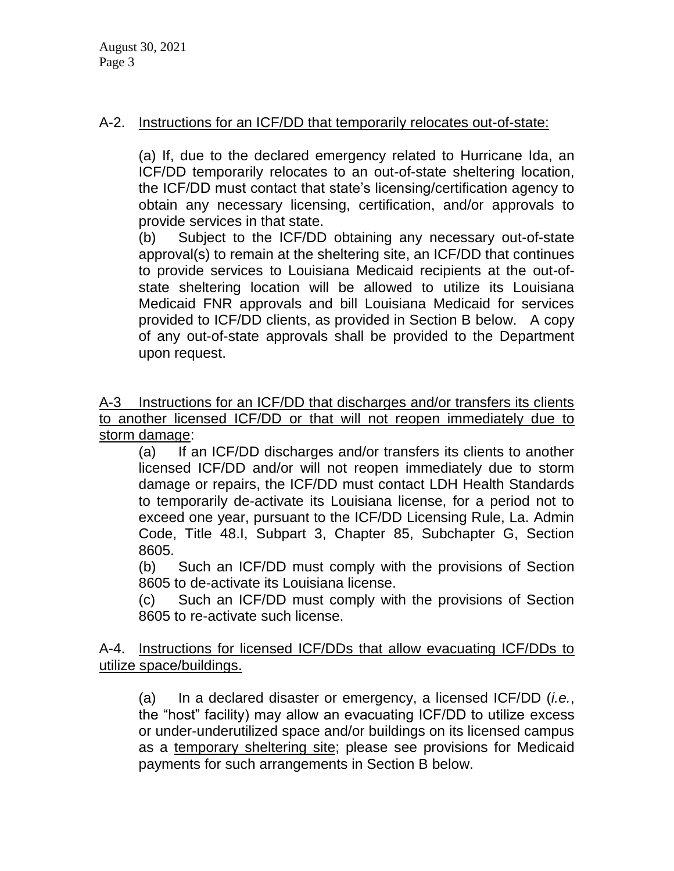#### A-2. Instructions for an ICF/DD that temporarily relocates out-of-state:

(a) If, due to the declared emergency related to Hurricane Ida, an ICF/DD temporarily relocates to an out-of-state sheltering location, the ICF/DD must contact that state's licensing/certification agency to obtain any necessary licensing, certification, and/or approvals to provide services in that state.

(b) Subject to the ICF/DD obtaining any necessary out-of-state approval(s) to remain at the sheltering site, an ICF/DD that continues to provide services to Louisiana Medicaid recipients at the out-ofstate sheltering location will be allowed to utilize its Louisiana Medicaid FNR approvals and bill Louisiana Medicaid for services provided to ICF/DD clients, as provided in Section B below. A copy of any out-of-state approvals shall be provided to the Department upon request.

A-3 Instructions for an ICF/DD that discharges and/or transfers its clients to another licensed ICF/DD or that will not reopen immediately due to storm damage:

(a) If an ICF/DD discharges and/or transfers its clients to another licensed ICF/DD and/or will not reopen immediately due to storm damage or repairs, the ICF/DD must contact LDH Health Standards to temporarily de-activate its Louisiana license, for a period not to exceed one year, pursuant to the ICF/DD Licensing Rule, La. Admin Code, Title 48.I, Subpart 3, Chapter 85, Subchapter G, Section 8605.

(b) Such an ICF/DD must comply with the provisions of Section 8605 to de-activate its Louisiana license.

(c) Such an ICF/DD must comply with the provisions of Section 8605 to re-activate such license.

A-4. Instructions for licensed ICF/DDs that allow evacuating ICF/DDs to utilize space/buildings.

(a) In a declared disaster or emergency, a licensed ICF/DD (*i.e.*, the "host" facility) may allow an evacuating ICF/DD to utilize excess or under-underutilized space and/or buildings on its licensed campus as a temporary sheltering site; please see provisions for Medicaid payments for such arrangements in Section B below.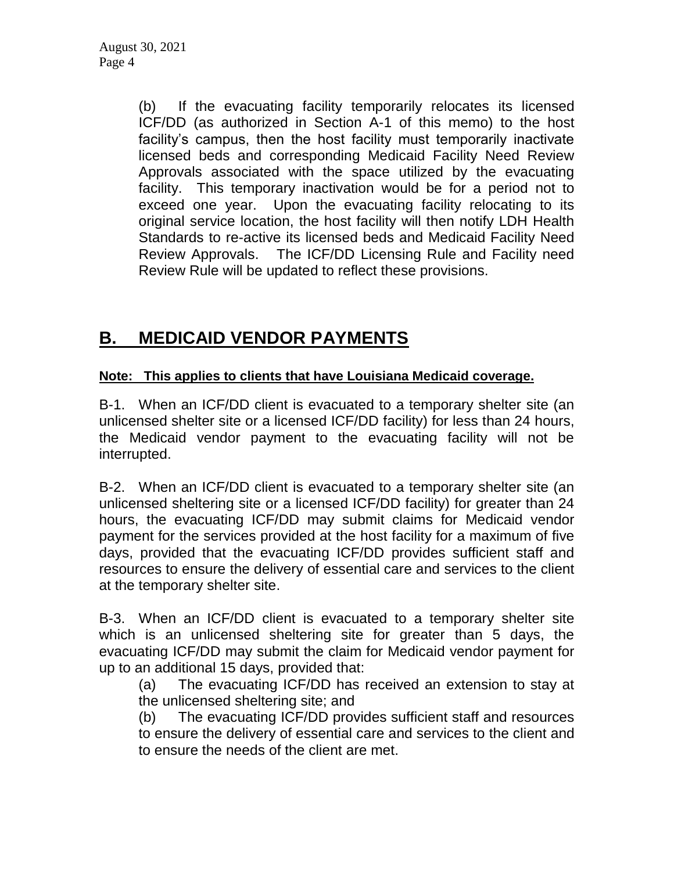(b) If the evacuating facility temporarily relocates its licensed ICF/DD (as authorized in Section A-1 of this memo) to the host facility's campus, then the host facility must temporarily inactivate licensed beds and corresponding Medicaid Facility Need Review Approvals associated with the space utilized by the evacuating facility. This temporary inactivation would be for a period not to exceed one year. Upon the evacuating facility relocating to its original service location, the host facility will then notify LDH Health Standards to re-active its licensed beds and Medicaid Facility Need Review Approvals. The ICF/DD Licensing Rule and Facility need Review Rule will be updated to reflect these provisions.

## **B. MEDICAID VENDOR PAYMENTS**

#### **Note: This applies to clients that have Louisiana Medicaid coverage.**

B-1. When an ICF/DD client is evacuated to a temporary shelter site (an unlicensed shelter site or a licensed ICF/DD facility) for less than 24 hours, the Medicaid vendor payment to the evacuating facility will not be interrupted.

B-2. When an ICF/DD client is evacuated to a temporary shelter site (an unlicensed sheltering site or a licensed ICF/DD facility) for greater than 24 hours, the evacuating ICF/DD may submit claims for Medicaid vendor payment for the services provided at the host facility for a maximum of five days, provided that the evacuating ICF/DD provides sufficient staff and resources to ensure the delivery of essential care and services to the client at the temporary shelter site.

B-3. When an ICF/DD client is evacuated to a temporary shelter site which is an unlicensed sheltering site for greater than 5 days, the evacuating ICF/DD may submit the claim for Medicaid vendor payment for up to an additional 15 days, provided that:

(a) The evacuating ICF/DD has received an extension to stay at the unlicensed sheltering site; and

(b) The evacuating ICF/DD provides sufficient staff and resources to ensure the delivery of essential care and services to the client and to ensure the needs of the client are met.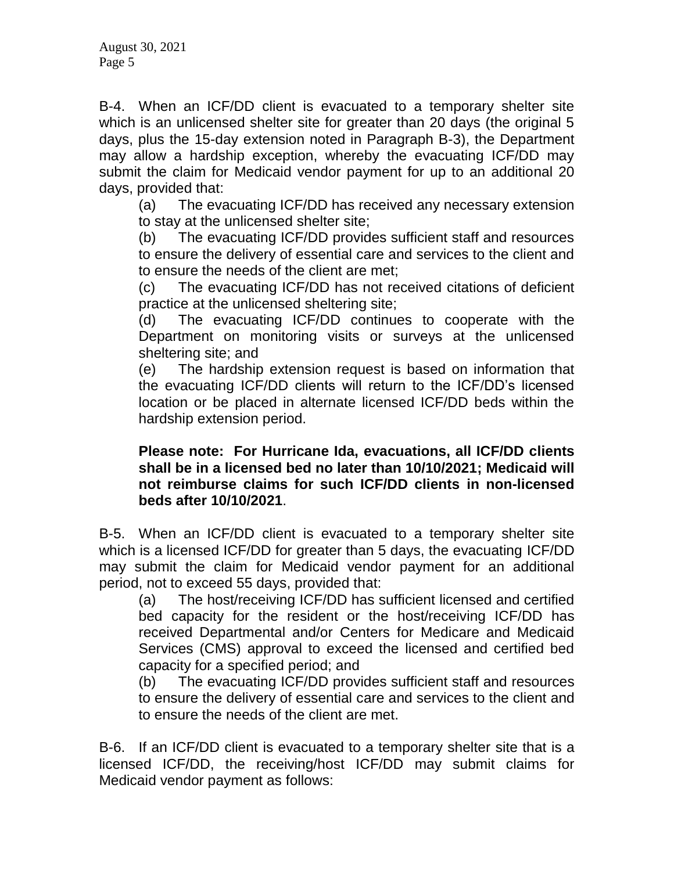B-4. When an ICF/DD client is evacuated to a temporary shelter site which is an unlicensed shelter site for greater than 20 days (the original 5 days, plus the 15-day extension noted in Paragraph B-3), the Department may allow a hardship exception, whereby the evacuating ICF/DD may submit the claim for Medicaid vendor payment for up to an additional 20 days, provided that:

(a) The evacuating ICF/DD has received any necessary extension to stay at the unlicensed shelter site;

(b) The evacuating ICF/DD provides sufficient staff and resources to ensure the delivery of essential care and services to the client and to ensure the needs of the client are met;

(c) The evacuating ICF/DD has not received citations of deficient practice at the unlicensed sheltering site;

(d) The evacuating ICF/DD continues to cooperate with the Department on monitoring visits or surveys at the unlicensed sheltering site; and

(e) The hardship extension request is based on information that the evacuating ICF/DD clients will return to the ICF/DD's licensed location or be placed in alternate licensed ICF/DD beds within the hardship extension period.

#### **Please note: For Hurricane Ida, evacuations, all ICF/DD clients shall be in a licensed bed no later than 10/10/2021; Medicaid will not reimburse claims for such ICF/DD clients in non-licensed beds after 10/10/2021**.

B-5. When an ICF/DD client is evacuated to a temporary shelter site which is a licensed ICF/DD for greater than 5 days, the evacuating ICF/DD may submit the claim for Medicaid vendor payment for an additional period, not to exceed 55 days, provided that:

(a) The host/receiving ICF/DD has sufficient licensed and certified bed capacity for the resident or the host/receiving ICF/DD has received Departmental and/or Centers for Medicare and Medicaid Services (CMS) approval to exceed the licensed and certified bed capacity for a specified period; and

(b) The evacuating ICF/DD provides sufficient staff and resources to ensure the delivery of essential care and services to the client and to ensure the needs of the client are met.

B-6. If an ICF/DD client is evacuated to a temporary shelter site that is a licensed ICF/DD, the receiving/host ICF/DD may submit claims for Medicaid vendor payment as follows: